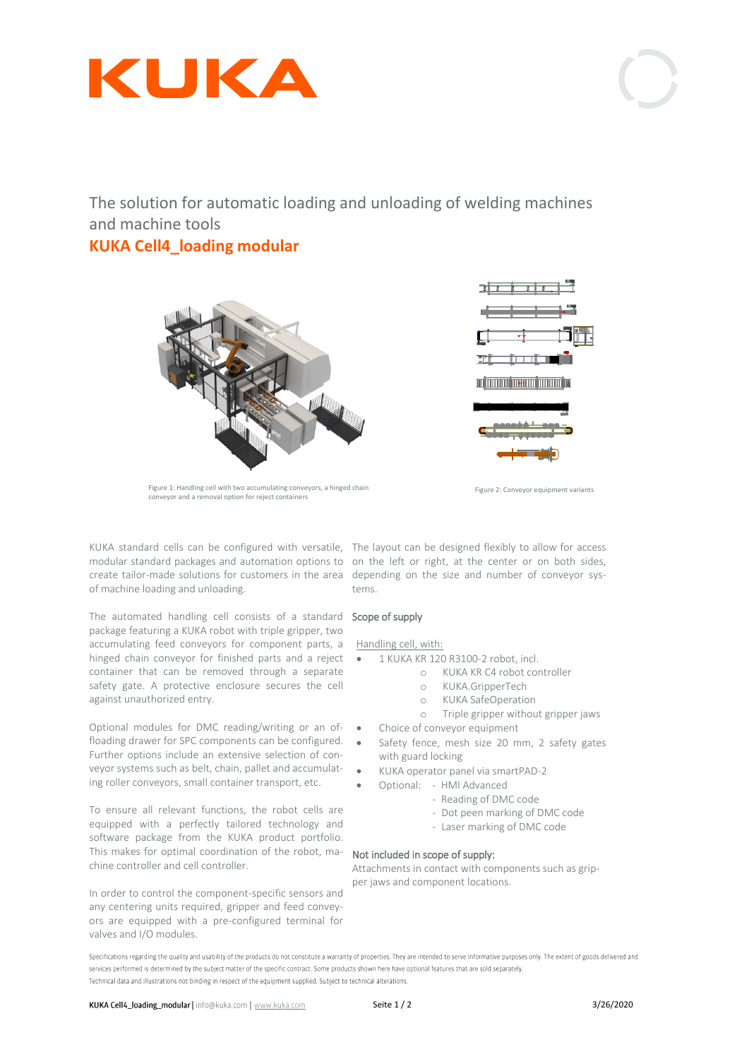

The solution for automatic loading and unloading of welding machines and machine tools

# **KUKA Cell4\_loading modular**



Figure 1: Handling cell with two accumulating conveyors, a hinged chain conveyor and a removal option for reject containers

KUKA standard cells can be configured with versatile, The layout can be designed flexibly to allow for access modular standard packages and automation options to on the left or right, at the center or on both sides, create tailor-made solutions for customers in the area depending on the size and number of conveyor sysof machine loading and unloading.

The automated handling cell consists of a standard **Scope of supply** package featuring a KUKA robot with triple gripper, two accumulating feed conveyors for component parts, a hinged chain conveyor for finished parts and a reject • container that can be removed through a separate safety gate. A protective enclosure secures the cell against unauthorized entry.

Optional modules for DMC reading/writing or an offloading drawer for SPC components can be configured. Further options include an extensive selection of conveyor systems such as belt, chain, pallet and accumulating roller conveyors, small container transport, etc.

To ensure all relevant functions, the robot cells are equipped with a perfectly tailored technology and software package from the KUKA product portfolio. This makes for optimal coordination of the robot, machine controller and cell controller.

In order to control the component-specific sensors and any centering units required, gripper and feed conveyors are equipped with a pre-configured terminal for valves and I/O modules.



Figure 2: Conveyor equipment variants

tems.

#### Handling cell, with:

- 1 KUKA KR 120 R3100-2 robot, incl.
	- o KUKA KR C4 robot controller
	- o KUKA.GripperTech
	- o KUKA SafeOperation
	- o Triple gripper without gripper jaws
- Choice of conveyor equipment
- Safety fence, mesh size 20 mm, 2 safety gates with guard locking
- KUKA operator panel via smartPAD-2
	- Optional: HMI Advanced
		- Reading of DMC code
		- Dot peen marking of DMC code
		- Laser marking of DMC code

#### Not included in scope of supply:

Attachments in contact with components such as gripper jaws and component locations.

Specifications regarding the quality and usability of the products do not constitute a warranty of properties. They are intended to serve informative purposes only. The extent of goods delivered and services performed is determined by the subject matter of the specific contract. Some products shown here have optional features that are sold separately. Technical data and illustrations not binding in respect of the equipment supplied. Subject to technical alterations